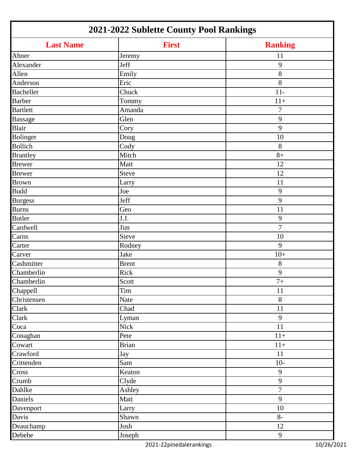| 2021-2022 Sublette County Pool Rankings |              |                |
|-----------------------------------------|--------------|----------------|
| <b>Last Name</b>                        | <b>First</b> | <b>Ranking</b> |
| Ahner                                   | Jeremy       | 11             |
| Alexander                               | Jeff         | 9              |
| Allen                                   | Emily        | 8              |
| Anderson                                | Eric         | 8              |
| <b>Bacheller</b>                        | Chuck        | $11-$          |
| <b>Barber</b>                           | Tommy        | $11+$          |
| <b>Bartlett</b>                         | Amanda       | $\overline{7}$ |
| <b>Bassage</b>                          | Glen         | 9              |
| <b>Blair</b>                            | Cory         | 9              |
| Bolinger                                | Doug         | 10             |
| <b>Bollich</b>                          | Cody         | 8              |
| <b>Brantley</b>                         | Mitch        | $8+$           |
| <b>Brewer</b>                           | Matt         | 12             |
| <b>Brewer</b>                           | Steve        | 12             |
| <b>Brown</b>                            | Larry        | 11             |
| <b>Budd</b>                             | Joe          | 9              |
| <b>Burgess</b>                          | Jeff         | 9              |
| <b>Burns</b>                            | Geo          | 11             |
| <b>Butler</b>                           | J.J.         | 9              |
| Cardwell                                | Jim          | 7              |
| Carns                                   | Steve        | 10             |
| Carter                                  | Rodney       | 9              |
| Carver                                  | Jake         | $10+$          |
| Cashmitter                              | <b>Brent</b> | 8              |
| Chamberlin                              | Rick         | 9              |
| Chamberlin                              | Scott        | $7\mathrm{+}$  |
| Chappell                                | Tim          | 11             |
| Christensen                             | Nate         | $8\,$          |
| Clark                                   | Chad         | 11             |
| Clark                                   | Lyman        | 9              |
| Coca                                    | <b>Nick</b>  | 11             |
| Conaghan                                | Pete         | $11+$          |
| Cowart                                  | <b>Brian</b> | $11+$          |
| Crawford                                | Jay          | 11             |
| Crittenden                              | Sam          | $10-$          |
| Cross                                   | Keaton       | 9              |
| Crumb                                   | Clyde        | $\mathbf{9}$   |
| Dahlke                                  | Ashley       | $\overline{7}$ |
| Daniels                                 | Matt         | 9              |
| Davenport                               | Larry        | 10             |
| Davis                                   | Shawn        | $8-$           |
| Deauchamp                               | Josh         | 12             |
| Debebe                                  | Joseph       | 9              |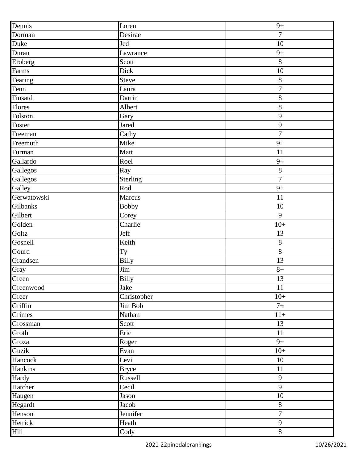| Dennis      | Loren                     | $9+$             |
|-------------|---------------------------|------------------|
| Dorman      | Desirae                   | $\overline{7}$   |
| Duke        | Jed                       | 10               |
| Duran       | Lawrance                  | $9+$             |
| Eroberg     | Scott                     | 8                |
| Farms       | Dick                      | 10               |
| Fearing     | Steve                     | $8\,$            |
| Fenn        | Laura                     | $\boldsymbol{7}$ |
| Finsatd     | Darrin                    | $8\,$            |
| Flores      | Albert                    | 8                |
| Folston     | Gary                      | $\mathbf{9}$     |
| Foster      | Jared                     | $\mathbf{9}$     |
| Freeman     | Cathy                     | $\overline{7}$   |
| Freemuth    | Mike                      | $9+$             |
| Furman      | Matt                      | 11               |
| Gallardo    | Roel                      | $9+$             |
| Gallegos    | Ray                       | $8\,$            |
| Gallegos    | Sterling                  | $\overline{7}$   |
| Galley      | $\overline{\text{Rod}}$   | $9+$             |
| Gerwatowski | Marcus                    | 11               |
| Gilbanks    | <b>Bobby</b>              | 10               |
| Gilbert     | $\overline{\text{Corey}}$ | 9                |
| Golden      | Charlie                   | $10+$            |
| Goltz       | Jeff                      | 13               |
| Gosnell     | Keith                     | $8\,$            |
| Gourd       | Ty                        | $8\,$            |
| Grandsen    | <b>Billy</b>              | 13               |
| Gray        | Jim                       | $8+$             |
| Green       | <b>Billy</b>              | 13               |
| Greenwood   | Jake                      | 11               |
| Greer       | Christopher               | $10+$            |
| Griffin     | Jim Bob                   | $7+$             |
| Grimes      | Nathan                    | $11+$            |
| Grossman    | Scott                     | 13               |
| Groth       | Eric                      | 11               |
| Groza       | Roger                     | $9+$             |
| Guzik       | Evan                      | $10+$            |
| Hancock     | Levi                      | $10\,$           |
| Hankins     | <b>Bryce</b>              | 11               |
| Hardy       | Russell                   | $\overline{9}$   |
| Hatcher     | Cecil                     | 9                |
| Haugen      | Jason                     | $10\,$           |
| Hegardt     | Jacob                     | $8\,$            |
| Henson      | Jennifer                  | $\overline{7}$   |
| Hetrick     | Heath                     | $\mathbf{9}$     |
| Hill        | Cody                      | $8\,$            |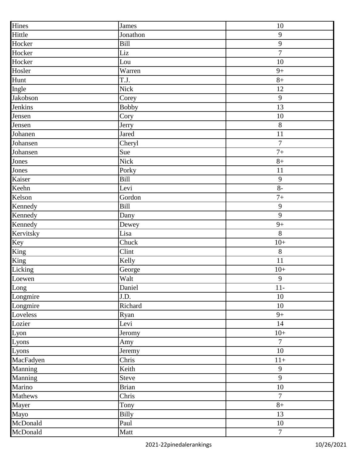| Hines     | James              | 10             |
|-----------|--------------------|----------------|
| Hittle    | Jonathon           | $\overline{9}$ |
| Hocker    | Bill               | $\mathbf{9}$   |
| Hocker    | Liz                | $\overline{7}$ |
| Hocker    | Lou                | 10             |
| Hosler    | Warren             | $9+$           |
| Hunt      | T.J.               | $8+$           |
| Ingle     | Nick               | 12             |
| Jakobson  | Corey              | $\mathbf{9}$   |
| Jenkins   | <b>Bobby</b>       | 13             |
| Jensen    | Cory               | 10             |
| Jensen    | Jerry              | 8              |
| Johanen   | Jared              | 11             |
| Johansen  | Cheryl             | $\overline{7}$ |
| Johansen  | Sue                | $7+$           |
| Jones     | Nick               | $8+$           |
| Jones     | Porky              | 11             |
| Kaiser    | Bill               | 9              |
| Keehn     | Levi               | $8-$           |
| Kelson    | Gordon             | $7+$           |
| Kennedy   | Bill               | $\mathbf{9}$   |
| Kennedy   | $\overline{D}$ any | $\mathbf{9}$   |
| Kennedy   | Dewey              | $9+$           |
| Kervitsky | Lisa               | 8              |
| Key       | Chuck              | $10+$          |
| King      | Clint              | $8\,$          |
| King      | Kelly              | 11             |
| Licking   | George             | $10+$          |
| Loewen    | Walt               | $\overline{9}$ |
| Long      | Daniel             | $11-$          |
| Longmire  | J.D.               | 10             |
| Longmire  | Richard            | 10             |
| Loveless  | Ryan               | $9+$           |
| Lozier    | Levi               | 14             |
| Lyon      | Jeromy             | $10+$          |
| Lyons     | Amy                | $\overline{7}$ |
| Lyons     | Jeremy             | 10             |
| MacFadyen | Chris              | $11+$          |
| Manning   | Keith              | $\overline{9}$ |
| Manning   | Steve              | 9              |
| Marino    | <b>Brian</b>       | 10             |
| Mathews   | Chris              | $\overline{7}$ |
| Mayer     | Tony               | $8+$           |
| Mayo      | <b>Billy</b>       | 13             |
| McDonald  | Paul               | 10             |
| McDonald  | Matt               | $\overline{7}$ |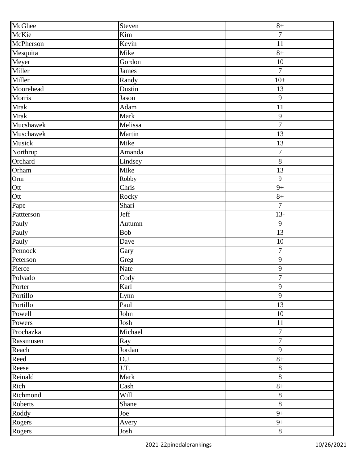| McGhee      | Steven                    | $8+$             |
|-------------|---------------------------|------------------|
| McKie       | Kim                       | $\boldsymbol{7}$ |
| McPherson   | Kevin                     | 11               |
| Mesquita    | Mike                      | $8+$             |
| Meyer       | Gordon                    | 10               |
| Miller      | <b>James</b>              | $\overline{7}$   |
| Miller      | Randy                     | $10+$            |
| Moorehead   | Dustin                    | 13               |
| Morris      | Jason                     | $\mathbf{9}$     |
| <b>Mrak</b> | Adam                      | 11               |
| Mrak        | Mark                      | 9                |
| Mucshawek   | Melissa                   | $\overline{7}$   |
| Muschawek   | Martin                    | 13               |
| Musick      | Mike                      | 13               |
| Northrup    | Amanda                    | $\boldsymbol{7}$ |
| Orchard     | Lindsey                   | $8\,$            |
| Orham       | Mike                      | 13               |
| Orm         | Robby                     | 9                |
| Ott         | $\overline{Chris}$        | $9+$             |
| Ott         | Rocky                     | $8+$             |
| Pape        | $\overline{\text{Shari}}$ | $\overline{7}$   |
| Pattterson  | Jeff                      | $13 -$           |
| Pauly       | Autumn                    | 9                |
| Pauly       | Bob                       | 13               |
| Pauly       | Dave                      | 10               |
| Pennock     | Gary                      | $\boldsymbol{7}$ |
| Peterson    | Greg                      | $\mathbf{9}$     |
| Pierce      | Nate                      | $\mathbf{9}$     |
| Polvado     | Cody                      | $\boldsymbol{7}$ |
| Porter      | Karl                      | 9                |
| Portillo    | Lynn                      | 9                |
| Portillo    | Paul                      | 13               |
| Powell      | John                      | 10               |
| Powers      | Josh                      | 11               |
| Prochazka   | Michael                   | $\boldsymbol{7}$ |
| Rassmusen   | Ray                       | $\boldsymbol{7}$ |
| Reach       | Jordan                    | $\mathbf{9}$     |
| Reed        | D.J.                      | $8+$             |
| Reese       | J.T.                      | $8\,$            |
| Reinald     | Mark                      | 8                |
| Rich        | Cash                      | $8+$             |
| Richmond    | Will                      | $8\,$            |
| Roberts     | Shane                     | 8                |
| Roddy       | Joe                       | $9+$             |
| Rogers      | Avery                     | $9+$             |
| Rogers      | Josh                      | $8\,$            |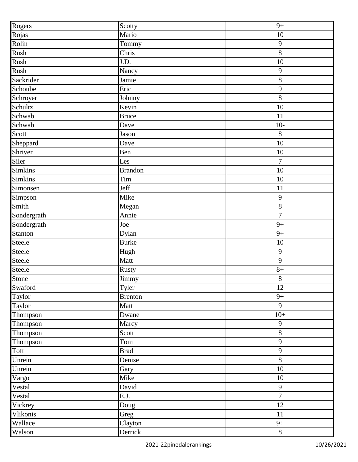|                 | Scotty             | $9+$           |
|-----------------|--------------------|----------------|
| Rogers<br>Rojas | Mario              | 10             |
| Rolin           | Tommy              | 9              |
| Rush            | Chris              | $8\,$          |
| Rush            | J.D.               | 10             |
| Rush            | Nancy              | 9              |
| Sackrider       | Jamie              | $8\,$          |
| Schoube         | Eric               | 9              |
| Schroyer        | Johnny             | $8\,$          |
| Schultz         | Kevin              | 10             |
| Schwab          | <b>Bruce</b>       | 11             |
| Schwab          | Dave               | $10-$          |
| Scott           | Jason              | 8              |
| Sheppard        | Dave               | 10             |
| Shriver         | Ben                | 10             |
| Siler           | Les                | $\overline{7}$ |
| <b>Simkins</b>  | <b>Brandon</b>     | 10             |
| <b>Simkins</b>  | Tim                | 10             |
| Simonsen        | Jeff               | 11             |
| Simpson         | Mike               | 9              |
| Smith           | Megan              | $8\,$          |
| Sondergrath     | Annie              | $\overline{7}$ |
| Sondergrath     | Joe                | $9+$           |
| Stanton         | Dylan              | $9+$           |
| Steele          | <b>Burke</b>       | 10             |
| Steele          | Hugh               | $\overline{9}$ |
| Steele          | Matt               | 9              |
| Steele          | Rusty              | $8+$           |
| Stone           | Jimmy              | $8\,$          |
| Swaford         | Tyler              | 12             |
| Taylor          | <b>Brenton</b>     | $9+$           |
| Taylor          | Matt               | 9              |
| Thompson        | Dwane              | $10+$          |
| Thompson        | Marcy              | 9              |
| Thompson        | $\overline{Scott}$ | $8\,$          |
| Thompson        | Tom                | 9              |
| Toft            | <b>Brad</b>        | $\overline{9}$ |
| Unrein          | Denise             | $8\,$          |
| Unrein          | Gary               | 10             |
| Vargo           | Mike               | 10             |
| Vestal          | David              | $\overline{9}$ |
| Vestal          | $\overline{E.J}.$  | $\overline{7}$ |
| Vickrey         | Doug               | 12             |
| Vlikonis        | Greg               | 11             |
| Wallace         | Clayton            | $9+$           |
| Walson          | Derrick            | $8\,$          |